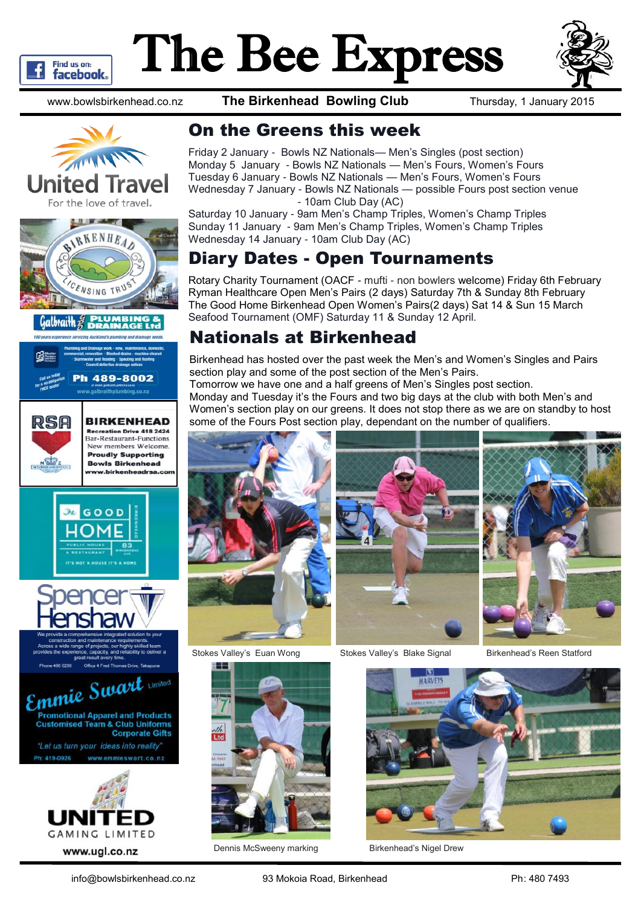

# The Bee Express



www.bowlsbirkenhead.co.nz **The Birkenhead Bowling Club** Thursday, 1 January 2015















## On the Greens this week

Friday 2 January - Bowls NZ Nationals— Men's Singles (post section) Monday 5 January - Bowls NZ Nationals — Men's Fours, Women's Fours Tuesday 6 January - Bowls NZ Nationals — Men's Fours, Women's Fours Wednesday 7 January - Bowls NZ Nationals — possible Fours post section venue - 10am Club Day (AC)

Saturday 10 January - 9am Men's Champ Triples, Women's Champ Triples Sunday 11 January - 9am Men's Champ Triples, Women's Champ Triples Wednesday 14 January - 10am Club Day (AC)

# Diary Dates - Open Tournaments

Rotary Charity Tournament (OACF - mufti - non bowlers welcome) Friday 6th February Ryman Healthcare Open Men's Pairs (2 days) Saturday 7th & Sunday 8th February The Good Home Birkenhead Open Women's Pairs(2 days) Sat 14 & Sun 15 March Seafood Tournament (OMF) Saturday 11 & Sunday 12 April.

## Nationals at Birkenhead

Birkenhead has hosted over the past week the Men's and Women's Singles and Pairs section play and some of the post section of the Men's Pairs. Tomorrow we have one and a half greens of Men's Singles post section. Monday and Tuesday it's the Fours and two big days at the club with both Men's and Women's section play on our greens. It does not stop there as we are on standby to host some of the Fours Post section play, dependant on the number of qualifiers.







Stokes Valley's Euan Wong Stokes Valley's Blake Signal Birkenhead's Reen Statford





Dennis McSweeny marking Birkenhead's Nigel Drew